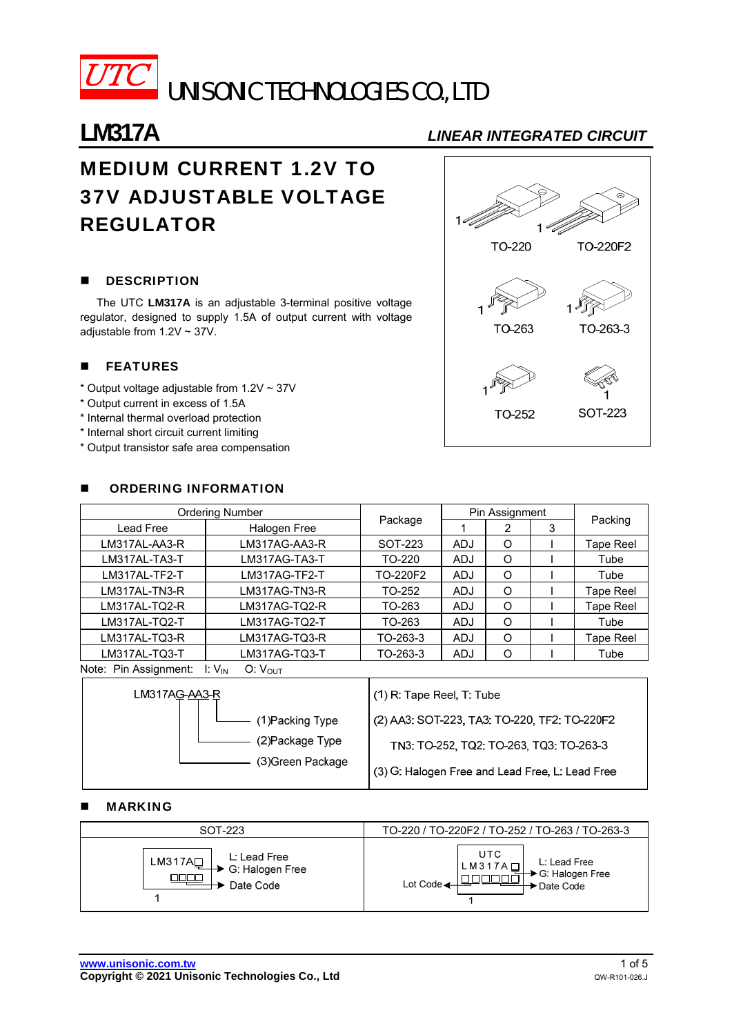

 $\overline{UTC}$  unisonic technologies co., LTD

## **LM317A** *LINEAR INTEGRATED CIRCUIT*

# MEDIUM CURRENT 1.2V TO 37V ADJUSTABLE VOLTAGE REGULATOR

### **DESCRIPTION**

The UTC **LM317A** is an adjustable 3-terminal positive voltage regulator, designed to supply 1.5A of output current with voltage adjustable from 1.2V ~ 37V.

### **E** FEATURES

- \* Output voltage adjustable from 1.2V ~ 37V
- \* Output current in excess of 1.5A
- \* Internal thermal overload protection
- \* Internal short circuit current limiting
- \* Output transistor safe area compensation



#### ORDERING INFORMATION

| Ordering Number              |                     |          | Pin Assignment |   |   |           |  |
|------------------------------|---------------------|----------|----------------|---|---|-----------|--|
| Lead Free                    | Halogen Free        | Package  |                | 2 | 3 | Packing   |  |
| LM317AL-AA3-R                | LM317AG-AA3-R       | SOT-223  | <b>ADJ</b>     | O |   | Tape Reel |  |
| LM317AL-TA3-T                | LM317AG-TA3-T       | TO-220   | <b>ADJ</b>     | O |   | Tube      |  |
| LM317AL-TF2-T                | LM317AG-TF2-T       | TO-220F2 | <b>ADJ</b>     | O |   | Tube      |  |
| LM317AL-TN3-R                | LM317AG-TN3-R       | TO-252   | <b>ADJ</b>     | O |   | Tape Reel |  |
| LM317AL-TQ2-R                | LM317AG-TQ2-R       | TO-263   | <b>ADJ</b>     | O |   | Tape Reel |  |
| LM317AL-TQ2-T                | LM317AG-TQ2-T       | TO-263   | <b>ADJ</b>     | O |   | Tube      |  |
| LM317AL-TQ3-R                | LM317AG-TQ3-R       | TO-263-3 | <b>ADJ</b>     | O |   | Tape Reel |  |
| LM317AL-TQ3-T                | LM317AG-TQ3-T       | TO-263-3 | <b>ADJ</b>     | O |   | Tube      |  |
| Mater Die Assissessente U.M. | $\bigcap_{i=1}^{n}$ |          |                |   |   |           |  |

Note: Pin Assignment: I: V<sub>IN</sub> O: V<sub>OUT</sub>



### MARKING

| SOT-223                                                              | TO-220 / TO-220F2 / TO-252 / TO-263 / TO-263-3                                            |  |  |  |
|----------------------------------------------------------------------|-------------------------------------------------------------------------------------------|--|--|--|
| L. Lead Free<br>LM317A<br>$\rightarrow$ G: Halogen Free<br>Date Code | <b>UTC</b><br>L: Lead Free<br>$LM317A$ $\Box$<br>G: Halogen Free<br>Lot Code<br>Date Code |  |  |  |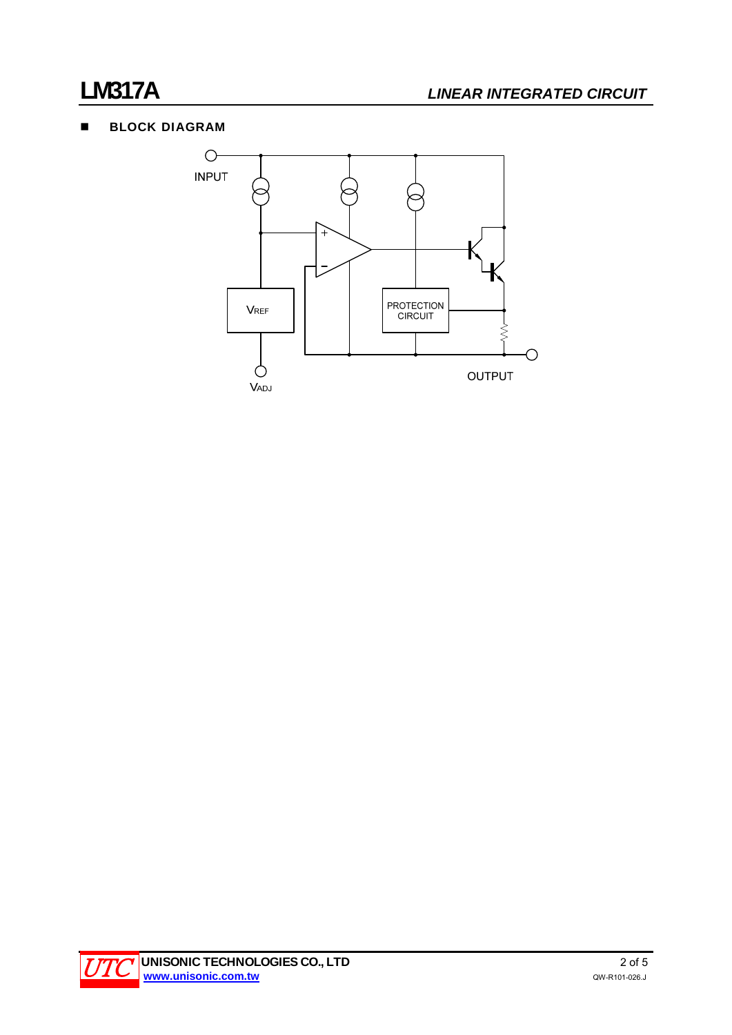### **BLOCK DIAGRAM**



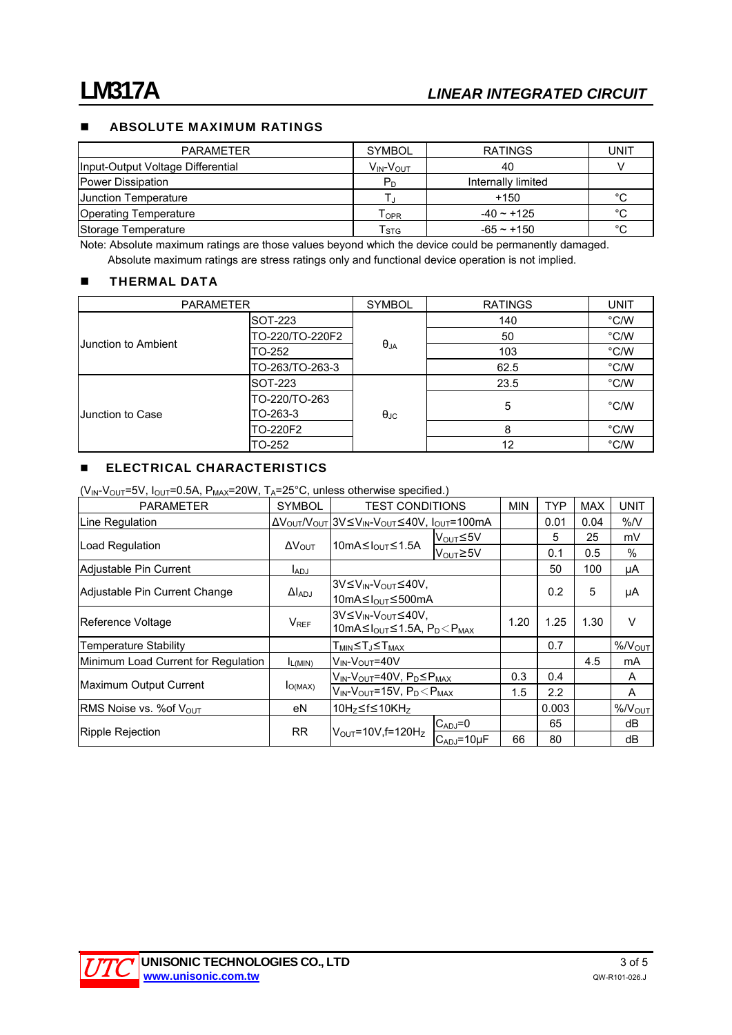### **ABSOLUTE MAXIMUM RATINGS**

| <b>PARAMETER</b>                  | <b>SYMBOL</b>                  | <b>RATINGS</b>     | UNIT |
|-----------------------------------|--------------------------------|--------------------|------|
| Input-Output Voltage Differential | $V_{IN}$ - $V_{OUT}$           | 40                 |      |
| Power Dissipation                 | $P_D$                          | Internally limited |      |
| <b>Junction Temperature</b>       |                                | $+150$             | °C   |
| <b>Operating Temperature</b>      | $\mathsf{T}_{\mathsf{OPR}}$    | $-40 \sim +125$    | °С   |
| Storage Temperature               | $\mathsf{\Gamma}_{\text{STG}}$ | $-65 - +150$       | °C   |

Note: Absolute maximum ratings are those values beyond which the device could be permanently damaged. Absolute maximum ratings are stress ratings only and functional device operation is not implied.

#### **THERMAL DATA**

| <b>PARAMETER</b>    |                           | <b>SYMBOL</b>     | <b>RATINGS</b> | <b>UNIT</b> |
|---------------------|---------------------------|-------------------|----------------|-------------|
| Junction to Ambient | SOT-223                   |                   | 140            | °C/W        |
|                     | TO-220/TO-220F2           | $\theta_{JA}$     | 50             | °C/W        |
|                     | TO-252                    |                   | 103            | °C/W        |
|                     | TO-263/TO-263-3           |                   | 62.5           | °C/W        |
|                     | SOT-223                   | $\theta_{\rm JC}$ | 23.5           | °C/W        |
| Junction to Case    | TO-220/TO-263<br>TO-263-3 |                   | 5              | °C/W        |
|                     | TO-220F2                  |                   | 8              | °C/W        |
|                     | TO-252                    |                   | 12             | °C/W        |

### **ELECTRICAL CHARACTERISTICS**

 $(V_{\text{IN}}-V_{\text{OUT}}=5V, I_{\text{OUT}}=0.5A, P_{\text{MAX}}=20W, T_A=25^{\circ}C,$  unless otherwise specified.)

| <b>PARAMETER</b>                    | <b>SYMBOL</b>           | <b>TEST CONDITIONS</b>                                                                                                         |                      | <b>MIN</b> | <b>TYP</b> | <b>MAX</b> | UNIT              |
|-------------------------------------|-------------------------|--------------------------------------------------------------------------------------------------------------------------------|----------------------|------------|------------|------------|-------------------|
| Line Regulation                     |                         | $\Delta V_{\text{OUT}}/V_{\text{OUT}} 3V \leq V_{\text{IN}}-V_{\text{OUT}} \leq 40V$ , $I_{\text{OUT}}=100 \text{mA}$          |                      |            | 0.01       | 0.04       | %N                |
|                                     | $\Delta V_{\text{OUT}}$ | $10mA \leq I_{OUT} \leq 1.5A$                                                                                                  | V <sub>OUT</sub> ≤5V |            | 5          | 25         | mV                |
| Load Regulation                     |                         |                                                                                                                                | V <sub>OUT</sub> ≥5V |            | 0.1        | 0.5        | $\%$              |
| Adjustable Pin Current              | $I_{ADJ}$               |                                                                                                                                |                      |            | 50         | 100        | μA                |
|                                     | $\Delta I_{ADJ}$        | 3V≤V <sub>IN</sub> -V <sub>OUT</sub> ≤40V,                                                                                     |                      |            |            | 5          | μA                |
| Adjustable Pin Current Change       |                         | 10mA≤ $I_{OUT}$ ≤500mA                                                                                                         |                      |            | 0.2        |            |                   |
| Reference Voltage                   | <b>V<sub>REF</sub></b>  | 3V≤V <sub>IN</sub> -V <sub>OUT</sub> ≤40V,<br>10mA $\leq$ I <sub>OUT</sub> $\leq$ 1.5A, P <sub>D</sub> $\leq$ P <sub>MAX</sub> |                      | 1.20       | 1.25       | 1.30       | V                 |
|                                     |                         |                                                                                                                                |                      |            |            |            |                   |
| <b>Temperature Stability</b>        |                         | T <sub>MIN</sub> ≤TJ≤T <sub>MAX</sub>                                                                                          |                      |            | 0.7        |            | %N <sub>OUT</sub> |
| Minimum Load Current for Regulation | $I_{L(MIN)}$            | V <sub>IN</sub> -V <sub>OUT</sub> =40V                                                                                         |                      |            |            | 4.5        | mA                |
|                                     | $I_{O(MAX)}$            | V <sub>IN</sub> -V <sub>OUT</sub> =40V, P <sub>D</sub> ≤P <sub>MAX</sub>                                                       |                      | 0.3        | 0.4        |            | A                 |
| Maximum Output Current              |                         | $V_{IN}$ - $V_{OUT}$ =15V, $P_D$ $<$ $P_{MAX}$                                                                                 |                      | 1.5        | 2.2        |            | A                 |
| RMS Noise vs. % of Vout             | eN                      | 10Hz≤f≤10KHz                                                                                                                   |                      |            | 0.003      |            | %N <sub>OUT</sub> |
|                                     | <b>RR</b>               | $V_{\text{OUT}}$ =10V, f=120H <sub>z</sub>                                                                                     | $C_{ADJ} = 0$        |            | 65         |            | dB                |
| Ripple Rejection                    |                         |                                                                                                                                | CADJ=10µF            | 66         | 80         |            | dB                |

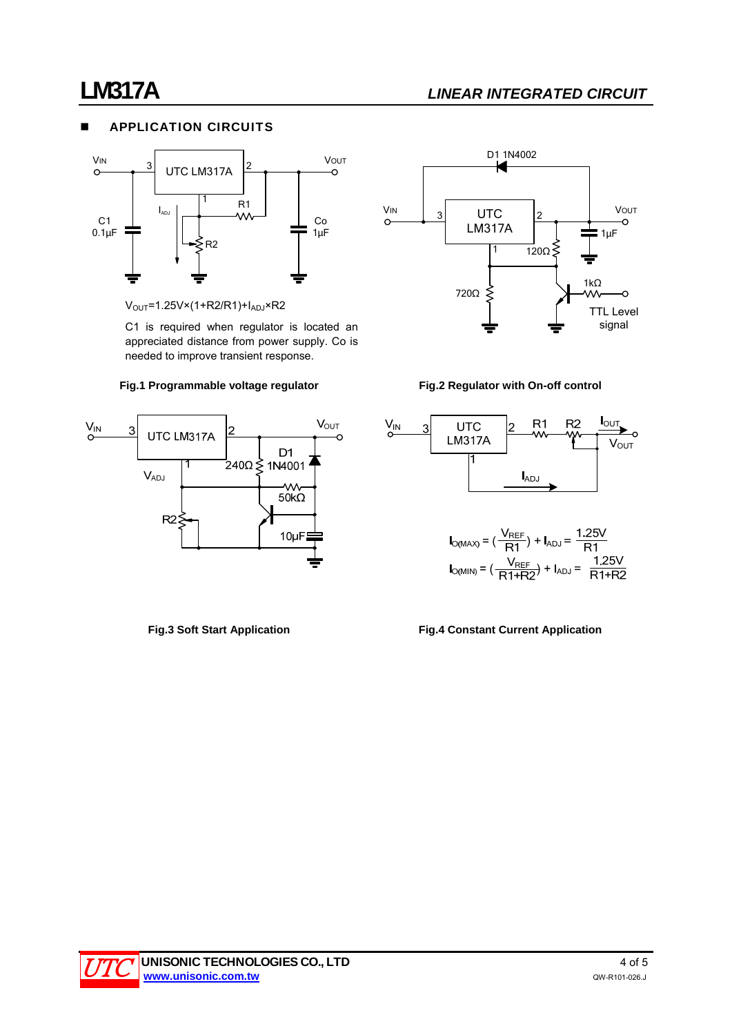## **LM317A** *LINEAR INTEGRATED CIRCUIT*

### **APPLICATION CIRCUITS**



 $V<sub>OUT</sub>=1.25V×(1+R2/R1)+I<sub>ADJ</sub>×R2$ 

C1 is required when regulator is located an appreciated distance from power supply. Co is needed to improve transient response.









$$
I_{O(MAX)} = (\frac{V_{REF}}{R1}) + I_{ADJ} = \frac{1.25V}{R1}
$$

$$
I_{O(MIN)} = (\frac{V_{REF}}{R1+R2}) + I_{ADJ} = \frac{1.25V}{R1+R2}
$$

#### **Fig.3 Soft Start Application Fig.4 Constant Current Application**